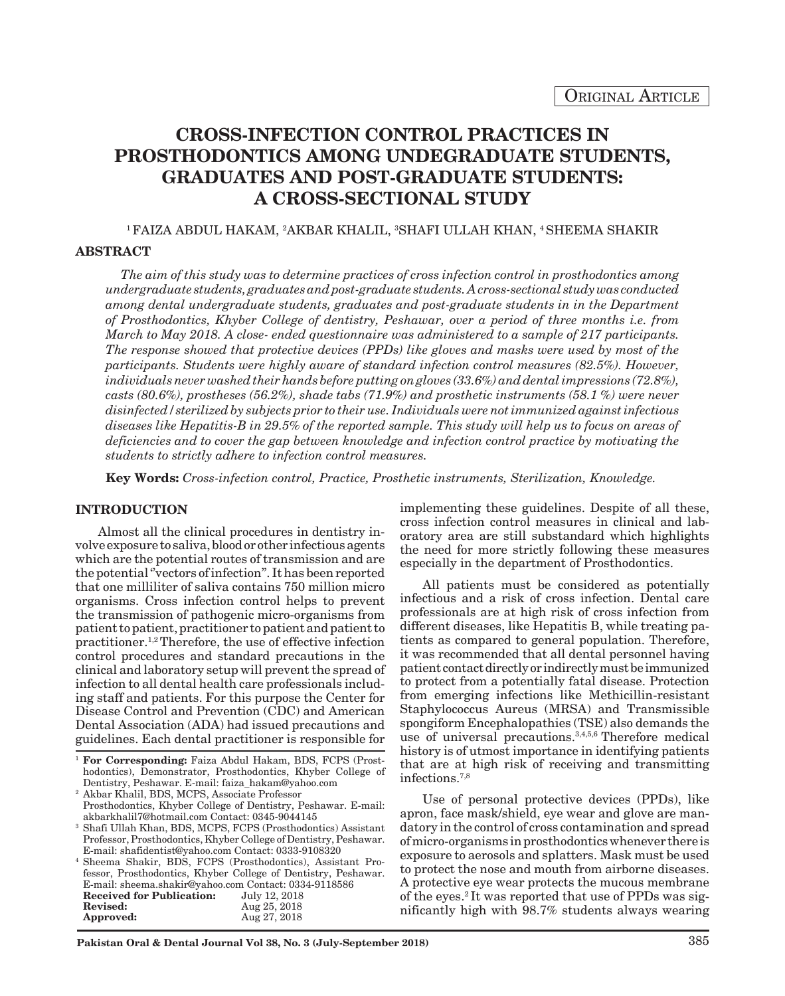# **CROSS-INFECTION CONTROL PRACTICES IN PROSTHODONTICS AMONG UNDEGRADUATE STUDENTS, GRADUATES AND POST-GRADUATE STUDENTS: A CROSS-SECTIONAL STUDY**

### $^{\rm 1}$ FAIZA ABDUL HAKAM,  $^{\rm 2}$ AKBAR KHALIL,  $^{\rm 3}$ SHAFI ULLAH KHAN,  $^{\rm 4}$ SHEEMA SHAKIR

## **ABSTRACT**

*The aim of this study was to determine practices of cross infection control in prosthodontics among undergraduate students, graduates and post-graduate students. A cross-sectional study was conducted among dental undergraduate students, graduates and post-graduate students in in the Department of Prosthodontics, Khyber College of dentistry, Peshawar, over a period of three months i.e. from March to May 2018. A close- ended questionnaire was administered to a sample of 217 participants. The response showed that protective devices (PPDs) like gloves and masks were used by most of the participants. Students were highly aware of standard infection control measures (82.5%). However, individuals never washed their hands before putting on gloves (33.6%) and dental impressions (72.8%), casts (80.6%), prostheses (56.2%), shade tabs (71.9%) and prosthetic instruments (58.1 %) were never disinfected/sterilized by subjects prior to their use. Individuals were not immunized against infectious diseases like Hepatitis-B in 29.5% of the reported sample. This study will help us to focus on areas of deficiencies and to cover the gap between knowledge and infection control practice by motivating the students to strictly adhere to infection control measures.*

**Key Words:** *Cross-infection control, Practice, Prosthetic instruments, Sterilization, Knowledge.*

### **INTRODUCTION**

Almost all the clinical procedures in dentistry involve exposure to saliva, blood or other infectious agents which are the potential routes of transmission and are the potential ''vectors of infection''. It has been reported that one milliliter of saliva contains 750 million micro organisms. Cross infection control helps to prevent the transmission of pathogenic micro-organisms from patient to patient, practitioner to patient and patient to practitioner.1,2 Therefore, the use of effective infection control procedures and standard precautions in the clinical and laboratory setup will prevent the spread of infection to all dental health care professionals including staff and patients. For this purpose the Center for Disease Control and Prevention (CDC) and American Dental Association (ADA) had issued precautions and guidelines. Each dental practitioner is responsible for

<sup>2</sup> Akbar Khalil, BDS, MCPS, Associate Professor Prosthodontics, Khyber College of Dentistry, Peshawar. E-mail: akbarkhalil7@hotmail.com Contact: 0345-9044145

<sup>3</sup> Shafi Ullah Khan, BDS, MCPS, FCPS (Prosthodontics) Assistant Professor, Prosthodontics, Khyber College of Dentistry, Peshawar. E-mail: shafidentist@yahoo.com Contact: 0333-9108320

<sup>4</sup> Sheema Shakir, BDS, FCPS (Prosthodontics), Assistant Professor, Prosthodontics, Khyber College of Dentistry, Peshawar. E-mail: sheema.shakir@yahoo.com Contact: 0334-9118586<br>Received for Publication: July 12, 2018 **Received for Publication:**<br>Revised: **Revised:** Aug 25, 2018<br> **Approved:** Aug 27, 2018 **Approved:** Aug 27, 2018

implementing these guidelines. Despite of all these, cross infection control measures in clinical and laboratory area are still substandard which highlights the need for more strictly following these measures especially in the department of Prosthodontics.

All patients must be considered as potentially infectious and a risk of cross infection. Dental care professionals are at high risk of cross infection from different diseases, like Hepatitis B, while treating patients as compared to general population. Therefore, it was recommended that all dental personnel having patient contact directly or indirectly must be immunized to protect from a potentially fatal disease. Protection from emerging infections like Methicillin-resistant Staphylococcus Aureus (MRSA) and Transmissible spongiform Encephalopathies (TSE) also demands the use of universal precautions.<sup>3,4,5,6</sup> Therefore medical history is of utmost importance in identifying patients that are at high risk of receiving and transmitting infections.7,8

Use of personal protective devices (PPDs), like apron, face mask/shield, eye wear and glove are mandatory in the control of cross contamination and spread of micro-organisms in prosthodontics whenever there is exposure to aerosols and splatters. Mask must be used to protect the nose and mouth from airborne diseases. A protective eye wear protects the mucous membrane of the eyes.2 It was reported that use of PPDs was significantly high with 98.7% students always wearing

<sup>1</sup> **For Corresponding:** Faiza Abdul Hakam, BDS, FCPS (Prosthodontics), Demonstrator, Prosthodontics, Khyber College of Dentistry, Peshawar. E-mail: faiza\_hakam@yahoo.com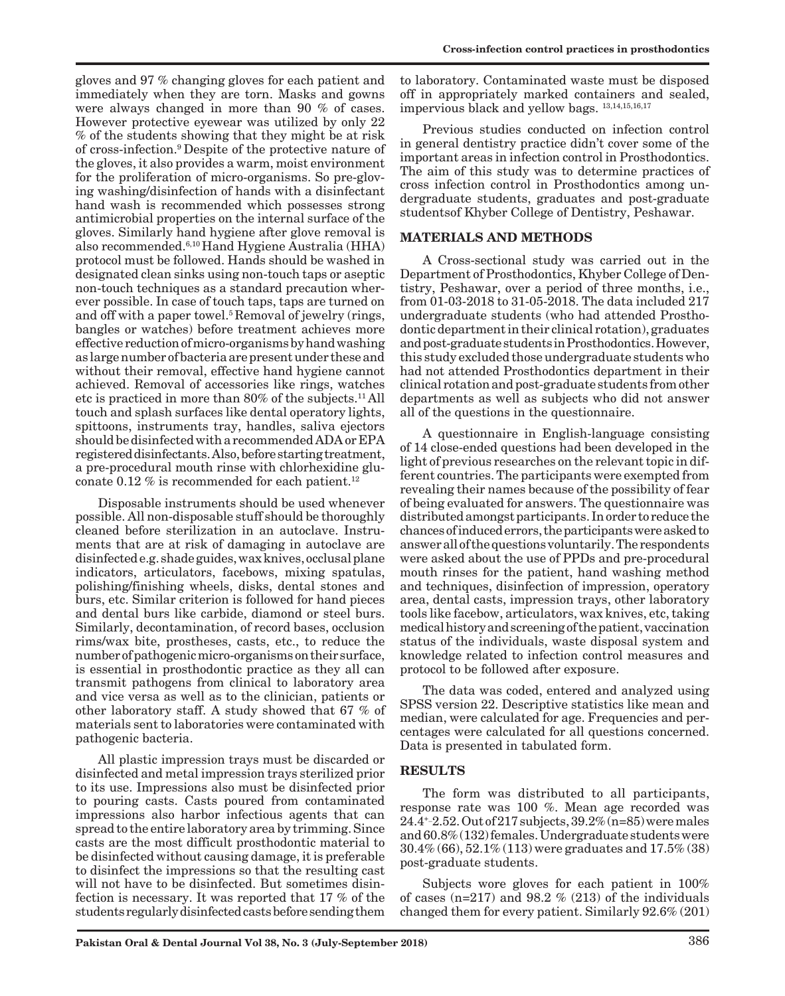gloves and 97 % changing gloves for each patient and immediately when they are torn. Masks and gowns were always changed in more than 90 % of cases. However protective eyewear was utilized by only 22 % of the students showing that they might be at risk of cross-infection.9 Despite of the protective nature of the gloves, it also provides a warm, moist environment for the proliferation of micro-organisms. So pre-gloving washing/disinfection of hands with a disinfectant hand wash is recommended which possesses strong antimicrobial properties on the internal surface of the gloves. Similarly hand hygiene after glove removal is also recommended.6,10 Hand Hygiene Australia (HHA) protocol must be followed. Hands should be washed in designated clean sinks using non-touch taps or aseptic non-touch techniques as a standard precaution wherever possible. In case of touch taps, taps are turned on and off with a paper towel.<sup>5</sup> Removal of jewelry (rings, bangles or watches) before treatment achieves more effective reduction of micro-organisms by hand washing as large number of bacteria are present under these and without their removal, effective hand hygiene cannot achieved. Removal of accessories like rings, watches etc is practiced in more than 80% of the subjects.11 All touch and splash surfaces like dental operatory lights, spittoons, instruments tray, handles, saliva ejectors should be disinfected with a recommended ADA or EPA registered disinfectants. Also, before starting treatment, a pre-procedural mouth rinse with chlorhexidine gluconate 0.12  $\%$  is recommended for each patient.<sup>12</sup>

Disposable instruments should be used whenever possible. All non-disposable stuff should be thoroughly cleaned before sterilization in an autoclave. Instruments that are at risk of damaging in autoclave are disinfected e.g. shade guides, wax knives, occlusal plane indicators, articulators, facebows, mixing spatulas, polishing/finishing wheels, disks, dental stones and burs, etc. Similar criterion is followed for hand pieces and dental burs like carbide, diamond or steel burs. Similarly, decontamination, of record bases, occlusion rims/wax bite, prostheses, casts, etc., to reduce the number of pathogenic micro-organisms on their surface, is essential in prosthodontic practice as they all can transmit pathogens from clinical to laboratory area and vice versa as well as to the clinician, patients or other laboratory staff. A study showed that 67 % of materials sent to laboratories were contaminated with pathogenic bacteria.

All plastic impression trays must be discarded or disinfected and metal impression trays sterilized prior to its use. Impressions also must be disinfected prior to pouring casts. Casts poured from contaminated impressions also harbor infectious agents that can spread to the entire laboratory area by trimming. Since casts are the most difficult prosthodontic material to be disinfected without causing damage, it is preferable to disinfect the impressions so that the resulting cast will not have to be disinfected. But sometimes disinfection is necessary. It was reported that 17 % of the students regularly disinfected casts before sending them

to laboratory. Contaminated waste must be disposed off in appropriately marked containers and sealed, impervious black and yellow bags. 13,14,15,16,17

Previous studies conducted on infection control in general dentistry practice didn't cover some of the important areas in infection control in Prosthodontics. The aim of this study was to determine practices of cross infection control in Prosthodontics among undergraduate students, graduates and post-graduate studentsof Khyber College of Dentistry, Peshawar.

## **MATERIALS AND METHODS**

A Cross-sectional study was carried out in the Department of Prosthodontics, Khyber College of Dentistry, Peshawar, over a period of three months, i.e., from 01-03-2018 to 31-05-2018. The data included 217 undergraduate students (who had attended Prosthodontic department in their clinical rotation), graduates and post-graduate students in Prosthodontics. However, this study excluded those undergraduate students who had not attended Prosthodontics department in their clinical rotation and post-graduate students from other departments as well as subjects who did not answer all of the questions in the questionnaire.

A questionnaire in English-language consisting of 14 close-ended questions had been developed in the light of previous researches on the relevant topic in different countries. The participants were exempted from revealing their names because of the possibility of fear of being evaluated for answers. The questionnaire was distributed amongst participants. In order to reduce the chances of induced errors, the participants were asked to answer all of the questions voluntarily. The respondents were asked about the use of PPDs and pre-procedural mouth rinses for the patient, hand washing method and techniques, disinfection of impression, operatory area, dental casts, impression trays, other laboratory tools like facebow, articulators, wax knives, etc, taking medical history and screening of the patient, vaccination status of the individuals, waste disposal system and knowledge related to infection control measures and protocol to be followed after exposure.

The data was coded, entered and analyzed using SPSS version 22. Descriptive statistics like mean and median, were calculated for age. Frequencies and percentages were calculated for all questions concerned. Data is presented in tabulated form.

## **RESULTS**

The form was distributed to all participants, response rate was 100 %. Mean age recorded was 24.4+\_2.52. Out of 217 subjects, 39.2% (n=85) were males and 60.8% (132) females. Undergraduate students were 30.4% (66), 52.1% (113) were graduates and 17.5% (38) post-graduate students.

Subjects wore gloves for each patient in 100% of cases  $(n=217)$  and 98.2 % (213) of the individuals changed them for every patient. Similarly 92.6% (201)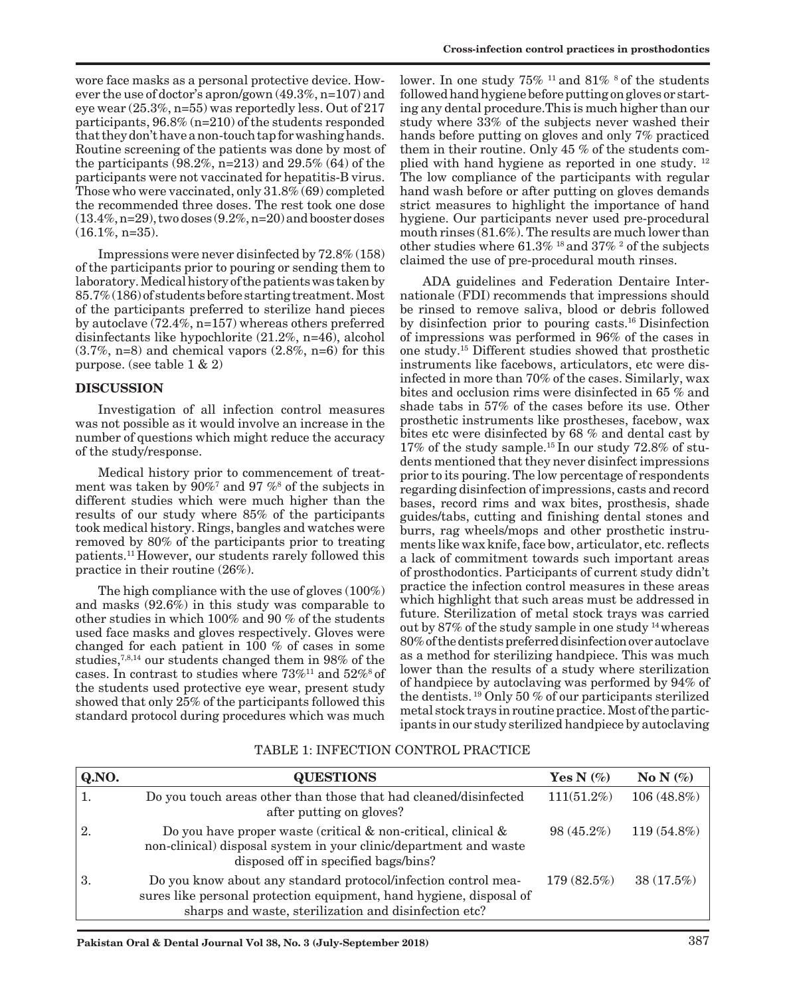wore face masks as a personal protective device. However the use of doctor's apron/gown (49.3%, n=107) and eye wear (25.3%, n=55) was reportedly less. Out of 217 participants, 96.8% (n=210) of the students responded that they don't have a non-touch tap for washing hands. Routine screening of the patients was done by most of the participants  $(98.2\%, n=213)$  and  $29.5\%$   $(64)$  of the participants were not vaccinated for hepatitis-B virus. Those who were vaccinated, only 31.8% (69) completed the recommended three doses. The rest took one dose  $(13.4\%, n=29)$ , two doses  $(9.2\%, n=20)$  and booster doses  $(16.1\%, n=35)$ .

Impressions were never disinfected by 72.8% (158) of the participants prior to pouring or sending them to laboratory. Medical history of the patients was taken by 85.7% (186) of students before starting treatment. Most of the participants preferred to sterilize hand pieces by autoclave (72.4%, n=157) whereas others preferred disinfectants like hypochlorite (21.2%, n=46), alcohol  $(3.7\%, n=8)$  and chemical vapors  $(2.8\%, n=6)$  for this purpose. (see table 1 & 2)

## **DISCUSSION**

Investigation of all infection control measures was not possible as it would involve an increase in the number of questions which might reduce the accuracy of the study/response.

Medical history prior to commencement of treatment was taken by 90%7 and 97 %8 of the subjects in different studies which were much higher than the results of our study where 85% of the participants took medical history. Rings, bangles and watches were removed by 80% of the participants prior to treating patients.11 However, our students rarely followed this practice in their routine (26%).

The high compliance with the use of gloves (100%) and masks (92.6%) in this study was comparable to other studies in which 100% and 90 % of the students used face masks and gloves respectively. Gloves were changed for each patient in 100 % of cases in some studies,<sup>7,8,14</sup> our students changed them in 98% of the cases. In contrast to studies where  $73\%$ <sup>11</sup> and  $52\%$ <sup>8</sup> of the students used protective eye wear, present study showed that only 25% of the participants followed this standard protocol during procedures which was much

lower. In one study  $75\%$  <sup>11</sup> and  $81\%$  <sup>8</sup> of the students followed hand hygiene before putting on gloves or starting any dental procedure.This is much higher than our study where 33% of the subjects never washed their hands before putting on gloves and only 7% practiced them in their routine. Only 45 % of the students complied with hand hygiene as reported in one study. 12 The low compliance of the participants with regular hand wash before or after putting on gloves demands strict measures to highlight the importance of hand hygiene. Our participants never used pre-procedural mouth rinses (81.6%). The results are much lower than other studies where  $61.3\%$  <sup>18</sup> and  $37\%$  <sup>2</sup> of the subjects claimed the use of pre-procedural mouth rinses.

ADA guidelines and Federation Dentaire Internationale (FDI) recommends that impressions should be rinsed to remove saliva, blood or debris followed by disinfection prior to pouring casts.16 Disinfection of impressions was performed in 96% of the cases in one study.15 Different studies showed that prosthetic instruments like facebows, articulators, etc were disinfected in more than 70% of the cases. Similarly, wax bites and occlusion rims were disinfected in 65 % and shade tabs in 57% of the cases before its use. Other prosthetic instruments like prostheses, facebow, wax bites etc were disinfected by 68 % and dental cast by 17% of the study sample.15 In our study 72.8% of students mentioned that they never disinfect impressions prior to its pouring. The low percentage of respondents regarding disinfection of impressions, casts and record bases, record rims and wax bites, prosthesis, shade guides/tabs, cutting and finishing dental stones and burrs, rag wheels/mops and other prosthetic instruments like wax knife, face bow, articulator, etc. reflects a lack of commitment towards such important areas of prosthodontics. Participants of current study didn't practice the infection control measures in these areas which highlight that such areas must be addressed in future. Sterilization of metal stock trays was carried out by 87% of the study sample in one study 14 whereas 80% of the dentists preferred disinfection over autoclave as a method for sterilizing handpiece. This was much lower than the results of a study where sterilization of handpiece by autoclaving was performed by 94% of the dentists. 19 Only 50 % of our participants sterilized metal stock trays in routine practice. Most of the participants in our study sterilized handpiece by autoclaving

| Q.NO. | <b>QUESTIONS</b>                                                                                                                                                                               | Yes N $(\%)$  | No N $(\%)$  |
|-------|------------------------------------------------------------------------------------------------------------------------------------------------------------------------------------------------|---------------|--------------|
|       | Do you touch areas other than those that had cleaned/disinfected<br>after putting on gloves?                                                                                                   | $111(51.2\%)$ | 106 (48.8%)  |
| 2.    | Do you have proper waste (critical $\&$ non-critical, clinical $\&$<br>non-clinical) disposal system in your clinic/department and waste<br>disposed off in specified bags/bins?               | $98(45.2\%)$  | 119 (54.8%)  |
| 3.    | Do you know about any standard protocol/infection control mea-<br>sures like personal protection equipment, hand hygiene, disposal of<br>sharps and waste, sterilization and disinfection etc? | 179(82.5%)    | $38(17.5\%)$ |

## TABLE 1: INFECTION CONTROL PRACTICE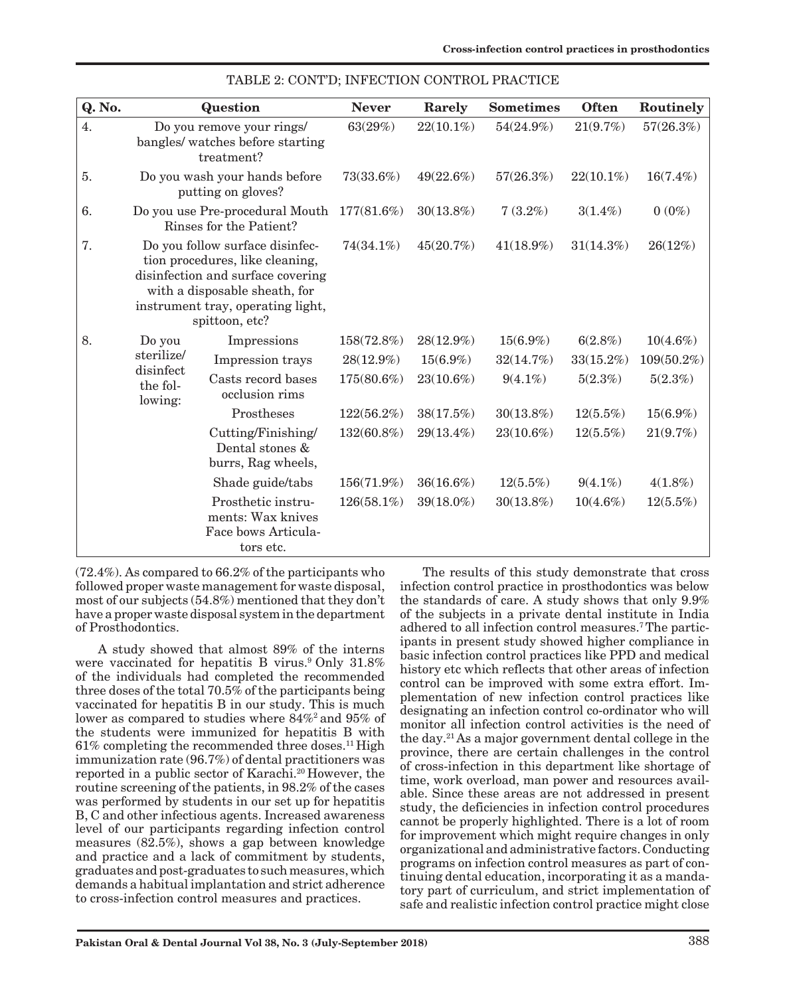| Q. No. |                                                                                                                                                                                                 | Question                                                                    | <b>Never</b>  | Rarely       | <b>Sometimes</b> | <b>Often</b> | Routinely   |
|--------|-------------------------------------------------------------------------------------------------------------------------------------------------------------------------------------------------|-----------------------------------------------------------------------------|---------------|--------------|------------------|--------------|-------------|
| 4.     |                                                                                                                                                                                                 | Do you remove your rings/<br>bangles/ watches before starting<br>treatment? | 63(29%)       | $22(10.1\%)$ | 54(24.9%)        | 21(9.7%)     | 57(26.3%)   |
| 5.     |                                                                                                                                                                                                 | Do you wash your hands before<br>putting on gloves?                         | 73(33.6%)     | 49(22.6%)    | 57(26.3%)        | $22(10.1\%)$ | $16(7.4\%)$ |
| 6.     | Do you use Pre-procedural Mouth<br>Rinses for the Patient?                                                                                                                                      |                                                                             | 177(81.6%)    | $30(13.8\%)$ | $7(3.2\%)$       | $3(1.4\%)$   | $0(0\%)$    |
| 7.     | Do you follow surface disinfec-<br>tion procedures, like cleaning,<br>disinfection and surface covering<br>with a disposable sheath, for<br>instrument tray, operating light,<br>spittoon, etc? |                                                                             | 74(34.1%)     | 45(20.7%)    | $41(18.9\%)$     | 31(14.3%)    | 26(12%)     |
| 8.     | Do you<br>sterilize/<br>disinfect<br>the fol-<br>lowing:                                                                                                                                        | Impressions                                                                 | 158(72.8%)    | 28(12.9%)    | $15(6.9\%)$      | 6(2.8%)      | $10(4.6\%)$ |
|        |                                                                                                                                                                                                 | Impression trays                                                            | 28(12.9%)     | $15(6.9\%)$  | 32(14.7%)        | 33(15.2%)    | 109(50.2%)  |
|        |                                                                                                                                                                                                 | Casts record bases<br>occlusion rims                                        | 175(80.6%)    | 23(10.6%)    | $9(4.1\%)$       | 5(2.3%)      | 5(2.3%)     |
|        |                                                                                                                                                                                                 | Prostheses                                                                  | $122(56.2\%)$ | 38(17.5%)    | $30(13.8\%)$     | $12(5.5\%)$  | $15(6.9\%)$ |
|        |                                                                                                                                                                                                 | Cutting/Finishing/<br>Dental stones &<br>burrs, Rag wheels,                 | 132(60.8%)    | 29(13.4%)    | 23(10.6%)        | $12(5.5\%)$  | 21(9.7%)    |
|        |                                                                                                                                                                                                 | Shade guide/tabs                                                            | 156(71.9%)    | 36(16.6%)    | $12(5.5\%)$      | $9(4.1\%)$   | $4(1.8\%)$  |
|        |                                                                                                                                                                                                 | Prosthetic instru-<br>ments: Wax knives<br>Face bows Articula-<br>tors etc. | 126(58.1%)    | 39(18.0%)    | $30(13.8\%)$     | $10(4.6\%)$  | $12(5.5\%)$ |

| TABLE 2: CONT'D; INFECTION CONTROL PRACTICE |  |  |  |  |
|---------------------------------------------|--|--|--|--|
|---------------------------------------------|--|--|--|--|

(72.4%). As compared to 66.2% of the participants who followed proper waste management for waste disposal, most of our subjects (54.8%) mentioned that they don't have a proper waste disposal system in the department of Prosthodontics.

A study showed that almost 89% of the interns were vaccinated for hepatitis B virus.<sup>9</sup> Only 31.8% of the individuals had completed the recommended three doses of the total 70.5% of the participants being vaccinated for hepatitis B in our study. This is much lower as compared to studies where 84%2 and 95% of the students were immunized for hepatitis B with  $61\%$  completing the recommended three doses.<sup>11</sup> High immunization rate (96.7%) of dental practitioners was reported in a public sector of Karachi.<sup>20</sup> However, the routine screening of the patients, in 98.2% of the cases was performed by students in our set up for hepatitis B, C and other infectious agents. Increased awareness level of our participants regarding infection control measures (82.5%), shows a gap between knowledge and practice and a lack of commitment by students, graduates and post-graduates to such measures, which demands a habitual implantation and strict adherence to cross-infection control measures and practices.

The results of this study demonstrate that cross infection control practice in prosthodontics was below the standards of care. A study shows that only 9.9% of the subjects in a private dental institute in India adhered to all infection control measures.7 The participants in present study showed higher compliance in basic infection control practices like PPD and medical history etc which reflects that other areas of infection control can be improved with some extra effort. Implementation of new infection control practices like designating an infection control co-ordinator who will monitor all infection control activities is the need of the day.21 As a major government dental college in the province, there are certain challenges in the control of cross-infection in this department like shortage of time, work overload, man power and resources available. Since these areas are not addressed in present study, the deficiencies in infection control procedures cannot be properly highlighted. There is a lot of room for improvement which might require changes in only organizational and administrative factors. Conducting programs on infection control measures as part of continuing dental education, incorporating it as a mandatory part of curriculum, and strict implementation of safe and realistic infection control practice might close